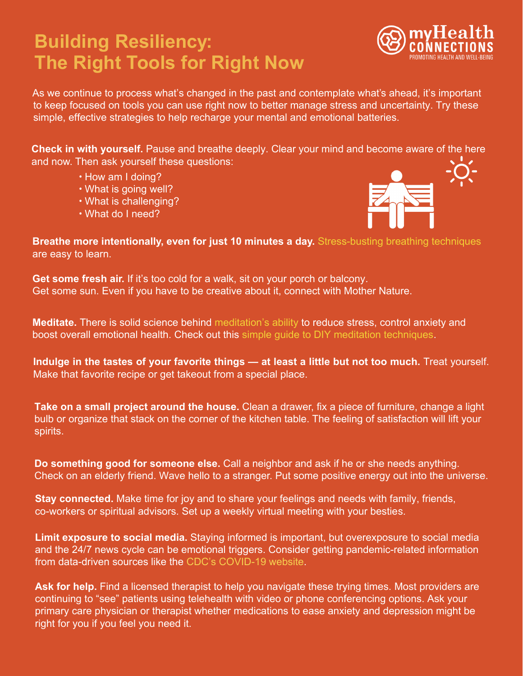## **Building Resiliency: The Right Tools for Right Now**



As we continue to process what's changed in the past and contemplate what's ahead, it's important to keep focused on tools you can use right now to better manage stress and uncertainty. Try these simple, effective strategies to help recharge your mental and emotional batteries.

**Check in with yourself.** Pause and breathe deeply. Clear your mind and become aware of the here and now. Then ask yourself these questions:

- How am I doing?
- What is going well?
- What is challenging?
- What do I need?



**Breathe more intentionally, even for just 10 minutes a day.** [Stress-busting breathing techniques](https://www.webmd.com/balance/stress-management/stress-relief-breathing-techniques#1) are easy to learn.

**Get some fresh air.** If it's too cold for a walk, sit on your porch or balcony. Get some sun. Even if you have to be creative about it, connect with Mother Nature.

**Meditate.** There is solid science behind [meditation's ability](https://www.healthline.com/nutrition/12-benefits-of-meditation#3.-Promotes-emotional-health) to reduce stress, control anxiety and boost overall emotional health. Check out this simple guide to DIY meditation techniques.

**Indulge in the tastes of your favorite things — at least a little but not too much.** Treat yourself. Make that favorite recipe or get takeout [from a special place.](https://www.smh.com/blog/diy-meditation-a-self-care-shortcut-for-busy-people)

**Take on a small project around the house.** Clean a drawer, fix a piece of furniture, change a light bulb or organize that stack on the corner of the kitchen table. The feeling of satisfaction will lift your spirits.

**Do something good for someone else.** Call a neighbor and ask if he or she needs anything. Check on an elderly friend. Wave hello to a stranger. Put some positive energy out into the universe.

**Stay connected.** Make time for joy and to share your feelings and needs with family, friends, co-workers or spiritual advisors. Set up a weekly virtual meeting with your besties.

**Limit exposure to social media.** Staying informed is important, but overexposure to social media and the 24/7 news cycle can be emotional triggers. Consider getting pandemic-related information from data-driven sources like the [CDC's COVID-19 website.](https://www.cdc.gov/coronavirus/2019-ncov/index.html)

Ask for help. Find a licensed therapist to help you navigate these trying times. Most providers are continuing to "see" patients using telehealth with video or phone conferencing options. Ask your primary care physician or therapist whether medications to ease anxiety and depression might be right for you if you feel you need it.